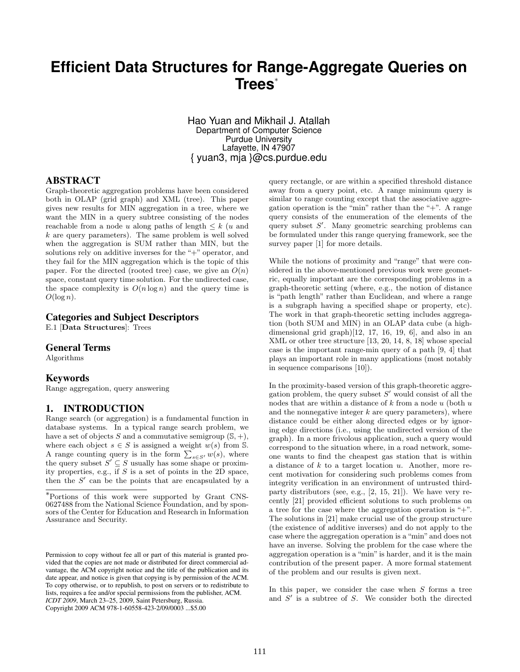# **Efficient Data Structures for Range-Aggregate Queries on Trees**<sup>∗</sup>

Hao Yuan and Mikhail J. Atallah Department of Computer Science Purdue University Lafayette, IN 47907 { yuan3, mja }@cs.purdue.edu

# ABSTRACT

Graph-theoretic aggregation problems have been considered both in OLAP (grid graph) and XML (tree). This paper gives new results for MIN aggregation in a tree, where we want the MIN in a query subtree consisting of the nodes reachable from a node u along paths of length  $\leq k$  (u and k are query parameters). The same problem is well solved when the aggregation is SUM rather than MIN, but the solutions rely on additive inverses for the "+" operator, and they fail for the MIN aggregation which is the topic of this paper. For the directed (rooted tree) case, we give an  $O(n)$ space, constant query time solution. For the undirected case, the space complexity is  $O(n \log n)$  and the query time is  $O(\log n)$ .

# Categories and Subject Descriptors

E.1 [Data Structures]: Trees

### General Terms

Algorithms

### Keywords

Range aggregation, query answering

# 1. INTRODUCTION

Range search (or aggregation) is a fundamental function in database systems. In a typical range search problem, we have a set of objects S and a commutative semigroup  $(\mathbb{S}, +),$ where each object  $s \in S$  is assigned a weight  $w(s)$  from S. A range counting query is in the form  $\sum_{s \in S'} w(s)$ , where the query subset  $S' \subseteq S$  usually has some shape or proximity properties, e.g., if  $S$  is a set of points in the  $2D$  space, then the  $S'$  can be the points that are encapsulated by a

query rectangle, or are within a specified threshold distance away from a query point, etc. A range minimum query is similar to range counting except that the associative aggregation operation is the "min" rather than the " $+$ ". A range query consists of the enumeration of the elements of the query subset  $S'$ . Many geometric searching problems can be formulated under this range querying framework, see the survey paper [1] for more details.

While the notions of proximity and "range" that were considered in the above-mentioned previous work were geometric, equally important are the corresponding problems in a graph-theoretic setting (where, e.g., the notion of distance is "path length" rather than Euclidean, and where a range is a subgraph having a specified shape or property, etc). The work in that graph-theoretic setting includes aggregation (both SUM and MIN) in an OLAP data cube (a highdimensional grid graph)[12, 17, 16, 19, 6], and also in an XML or other tree structure [13, 20, 14, 8, 18] whose special case is the important range-min query of a path [9, 4] that plays an important role in many applications (most notably in sequence comparisons [10]).

In the proximity-based version of this graph-theoretic aggregation problem, the query subset  $S'$  would consist of all the nodes that are within a distance of  $k$  from a node  $u$  (both  $u$ ) and the nonnegative integer  $k$  are query parameters), where distance could be either along directed edges or by ignoring edge directions (i.e., using the undirected version of the graph). In a more frivolous application, such a query would correspond to the situation where, in a road network, someone wants to find the cheapest gas station that is within a distance of  $k$  to a target location  $u$ . Another, more recent motivation for considering such problems comes from integrity verification in an environment of untrusted thirdparty distributors (see, e.g., [2, 15, 21]). We have very recently [21] provided efficient solutions to such problems on a tree for the case where the aggregation operation is "+". The solutions in [21] make crucial use of the group structure (the existence of additive inverses) and do not apply to the case where the aggregation operation is a "min" and does not have an inverse. Solving the problem for the case where the aggregation operation is a "min" is harder, and it is the main contribution of the present paper. A more formal statement of the problem and our results is given next.

In this paper, we consider the case when  $S$  forms a tree and  $S'$  is a subtree of  $S$ . We consider both the directed

<sup>∗</sup>Portions of this work were supported by Grant CNS-0627488 from the National Science Foundation, and by sponsors of the Center for Education and Research in Information Assurance and Security.

Permission to copy without fee all or part of this material is granted provided that the copies are not made or distributed for direct commercial advantage, the ACM copyright notice and the title of the publication and its date appear, and notice is given that copying is by permission of the ACM. To copy otherwise, or to republish, to post on servers or to redistribute to lists, requires a fee and/or special permissions from the publisher, ACM. *ICDT 2009*, March 23–25, 2009, Saint Petersburg, Russia. Copyright 2009 ACM 978-1-60558-423-2/09/0003 ...\$5.00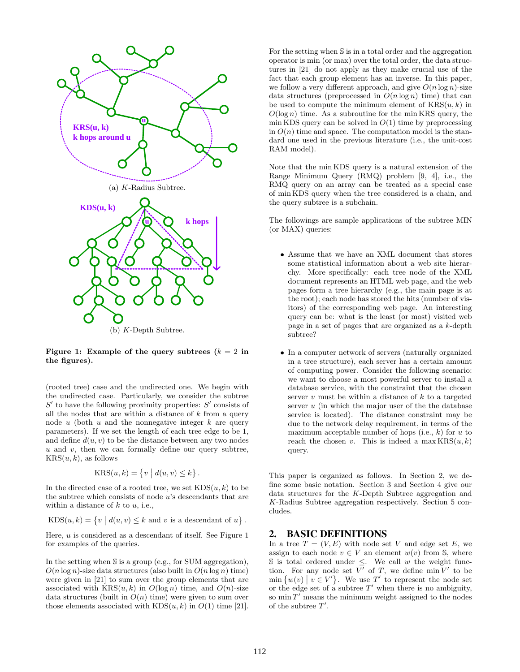

Figure 1: Example of the query subtrees  $(k = 2$  in the figures).

(rooted tree) case and the undirected one. We begin with the undirected case. Particularly, we consider the subtree  $S'$  to have the following proximity properties:  $S'$  consists of all the nodes that are within a distance of  $k$  from a query node u (both u and the nonnegative integer  $k$  are query parameters). If we set the length of each tree edge to be 1, and define  $d(u, v)$  to be the distance between any two nodes  $u$  and  $v$ , then we can formally define our query subtree,  $KRS(u, k)$ , as follows

$$
KRS(u, k) = \{ v \mid d(u, v) \leq k \}.
$$

In the directed case of a rooted tree, we set  $KDS(u, k)$  to be the subtree which consists of node u's descendants that are within a distance of  $k$  to  $u$ , i.e.,

 $KDS(u, k) = \{v \mid d(u, v) \leq k \text{ and } v \text{ is a descendant of } u\}.$ 

Here,  $u$  is considered as a descendant of itself. See Figure 1 for examples of the queries.

In the setting when S is a group (e.g., for SUM aggregation),  $O(n \log n)$ -size data structures (also built in  $O(n \log n)$  time) were given in [21] to sum over the group elements that are associated with  $KRS(u, k)$  in  $O(\log n)$  time, and  $O(n)$ -size data structures (built in  $O(n)$  time) were given to sum over those elements associated with  $KDS(u, k)$  in  $O(1)$  time [21].

For the setting when S is in a total order and the aggregation operator is min (or max) over the total order, the data structures in [21] do not apply as they make crucial use of the fact that each group element has an inverse. In this paper, we follow a very different approach, and give  $O(n \log n)$ -size data structures (preprocessed in  $O(n \log n)$  time) that can be used to compute the minimum element of  $KRS(u, k)$  in  $O(\log n)$  time. As a subroutine for the min KRS query, the min KDS query can be solved in  $O(1)$  time by preprocessing in  $O(n)$  time and space. The computation model is the standard one used in the previous literature (i.e., the unit-cost RAM model).

Note that the min KDS query is a natural extension of the Range Minimum Query (RMQ) problem [9, 4], i.e., the RMQ query on an array can be treated as a special case of min KDS query when the tree considered is a chain, and the query subtree is a subchain.

The followings are sample applications of the subtree MIN (or MAX) queries:

- Assume that we have an XML document that stores some statistical information about a web site hierarchy. More specifically: each tree node of the XML document represents an HTML web page, and the web pages form a tree hierarchy (e.g., the main page is at the root); each node has stored the hits (number of visitors) of the corresponding web page. An interesting query can be: what is the least (or most) visited web page in a set of pages that are organized as a k-depth subtree?
- In a computer network of servers (naturally organized in a tree structure), each server has a certain amount of computing power. Consider the following scenario: we want to choose a most powerful server to install a database service, with the constraint that the chosen server  $v$  must be within a distance of  $k$  to a targeted server  $u$  (in which the major user of the the database service is located). The distance constraint may be due to the network delay requirement, in terms of the maximum acceptable number of hops (i.e.,  $k$ ) for  $u$  to reach the chosen v. This is indeed a max  $KRS(u, k)$ query.

This paper is organized as follows. In Section 2, we define some basic notation. Section 3 and Section 4 give our data structures for the K-Depth Subtree aggregation and K-Radius Subtree aggregation respectively. Section 5 concludes.

# 2. BASIC DEFINITIONS

In a tree  $T = (V, E)$  with node set V and edge set E, we assign to each node  $v \in V$  an element  $w(v)$  from S, where S is total ordered under  $\leq$ . We call w the weight function. For any node set  $V'$  of T, we define min  $V'$  to be  $\min\{w(v) \mid v \in V'\}$ . We use T' to represent the node set or the edge set of a subtree  $T'$  when there is no ambiguity, so  $\min T'$  means the minimum weight assigned to the nodes of the subtree  $T'$ .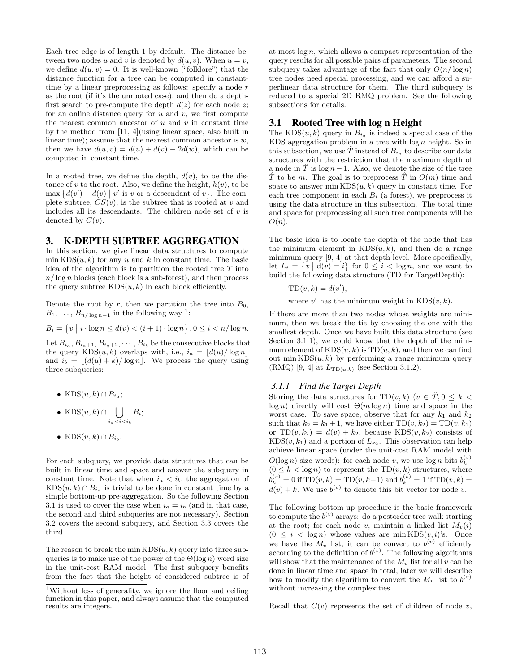Each tree edge is of length 1 by default. The distance between two nodes u and v is denoted by  $d(u, v)$ . When  $u = v$ , we define  $d(u, v) = 0$ . It is well-known ("folklore") that the distance function for a tree can be computed in constanttime by a linear preprocessing as follows: specify a node r as the root (if it's the unrooted case), and then do a depthfirst search to pre-compute the depth  $d(z)$  for each node z; for an online distance query for  $u$  and  $v$ , we first compute the nearest common ancestor of  $u$  and  $v$  in constant time by the method from [11, 4](using linear space, also built in linear time); assume that the nearest common ancestor is  $w$ , then we have  $d(u, v) = d(u) + d(v) - 2d(w)$ , which can be computed in constant time.

In a rooted tree, we define the depth,  $d(v)$ , to be the distance of v to the root. Also, we define the height,  $h(v)$ , to be  $\max \{d(v') - d(v) \mid v' \text{ is } v \text{ or a descendant of } v\}.$  The complete subtree,  $CS(v)$ , is the subtree that is rooted at v and includes all its descendants. The children node set of  $v$  is denoted by  $C(v)$ .

### 3. K-DEPTH SUBTREE AGGREGATION

In this section, we give linear data structures to compute  $\min$  KDS $(u, k)$  for any u and k in constant time. The basic idea of the algorithm is to partition the rooted tree  $T$  into  $n/\log n$  blocks (each block is a sub-forest), and then process the query subtree  $KDS(u, k)$  in each block efficiently.

Denote the root by r, then we partition the tree into  $B_0$ ,  $B_1, \ldots, B_{n/\log n-1}$  in the following way <sup>1</sup>:

$$
B_i = \{ v \mid i \cdot \log n \le d(v) < (i+1) \cdot \log n \}, 0 \le i < n / \log n.
$$

Let  $B_{i_a}, B_{i_a+1}, B_{i_a+2}, \cdots, B_{i_b}$  be the consecutive blocks that the query  $KDS(u, k)$  overlaps with, i.e.,  $i_a = \lfloor d(u)/\log n \rfloor$ and  $i_b = |(d(u) + k)/ \log n|$ . We process the query using three subqueries:

- KDS $(u, k) \cap B_{i_a};$
- KDS $(u,k) \cap$  | |  $i_a < i < i_b$  $B_i;$
- KDS $(u, k) \cap B_{i_b}$ .

For each subquery, we provide data structures that can be built in linear time and space and answer the subquery in constant time. Note that when  $i_a < i_b$ , the aggregation of  $KDS(u, k) \cap B_{i_a}$  is trivial to be done in constant time by a simple bottom-up pre-aggregation. So the following Section 3.1 is used to cover the case when  $i_a = i_b$  (and in that case, the second and third subqueries are not necessary). Section 3.2 covers the second subquery, and Section 3.3 covers the third.

The reason to break the min  $KDS(u, k)$  query into three subqueries is to make use of the power of the  $\Theta(\log n)$  word size in the unit-cost RAM model. The first subquery benefits from the fact that the height of considered subtree is of at most  $\log n$ , which allows a compact representation of the query results for all possible pairs of parameters. The second subquery takes advantage of the fact that only  $O(n/\log n)$ tree nodes need special processing, and we can afford a superlinear data structure for them. The third subquery is reduced to a special 2D RMQ problem. See the following subsections for details.

### 3.1 Rooted Tree with log n Height

The KDS $(u, k)$  query in  $B_{i_a}$  is indeed a special case of the KDS aggregation problem in a tree with  $\log n$  height. So in this subsection, we use  $\hat{T}$  instead of  $B_{i_a}$  to describe our data structures with the restriction that the maximum depth of a node in  $\hat{T}$  is log  $n-1$ . Also, we denote the size of the tree  $\hat{T}$  to be m. The goal is to preprocess  $\hat{T}$  in  $O(m)$  time and space to answer min  $KDS(u, k)$  query in constant time. For each tree component in each  $B_i$  (a forest), we preprocess it using the data structure in this subsection. The total time and space for preprocessing all such tree components will be  $O(n)$ .

The basic idea is to locate the depth of the node that has the minimum element in  $KDS(u, k)$ , and then do a range minimum query [9, 4] at that depth level. More specifically, let  $L_i = \{v \mid d(v) = i\}$  for  $0 \leq i < \log n$ , and we want to build the following data structure (TD for TargetDepth):

 $TD(v, k) = d(v'),$ 

where  $v'$  has the minimum weight in  $KDS(v, k)$ .

If there are more than two nodes whose weights are minimum, then we break the tie by choosing the one with the smallest depth. Once we have built this data structure (see Section 3.1.1), we could know that the depth of the minimum element of  $KDS(u, k)$  is  $TD(u, k)$ , and then we can find out min  $KDS(u, k)$  by performing a range minimum query (RMQ) [9, 4] at  $L_{\text{TD}(u,k)}$  (see Section 3.1.2).

### *3.1.1 Find the Target Depth*

Storing the data structures for TD $(v, k)$   $(v \in \hat{T}, 0 \leq k \leq$ log n) directly will cost  $\Theta(m \log n)$  time and space in the worst case. To save space, observe that for any  $k_1$  and  $k_2$ such that  $k_2 = k_1 + 1$ , we have either  $TD(v, k_2) = TD(v, k_1)$ or  $TD(v, k_2) = d(v) + k_2$ , because  $KDS(v, k_2)$  consists of  $KDS(v, k_1)$  and a portion of  $L_{k_2}$ . This observation can help achieve linear space (under the unit-cost RAM model with  $O(\log n)$ -size words): for each node v, we use  $\log n$  bits  $b_k^{(v)}$  $(0 \leq k < \log n)$  to represent the TD $(v, k)$  structures, where  $b_k^{(v)} = 0$  if TD $(v, k) = \text{TD}(v, k-1)$  and  $b_k^{(v)} = 1$  if TD $(v, k) =$  $d(v) + k$ . We use  $b^{(v)}$  to denote this bit vector for node v.

The following bottom-up procedure is the basic framework to compute the  $b^{(v)}$  arrays: do a postorder tree walk starting at the root; for each node v, maintain a linked list  $M_v(i)$  $(0 \leq i < \log n)$  whose values are min KDS $(v, i)$ 's. Once we have the  $M_v$  list, it can be convert to  $b^{(v)}$  efficiently according to the definition of  $b^{(v)}$ . The following algorithms will show that the maintenance of the  $M_v$  list for all v can be done in linear time and space in total, later we will describe how to modify the algorithm to convert the  $M_v$  list to  $b^{(v)}$ without increasing the complexities.

Recall that  $C(v)$  represents the set of children of node v,

<sup>&</sup>lt;sup>1</sup>Without loss of generality, we ignore the floor and ceiling function in this paper, and always assume that the computed results are integers.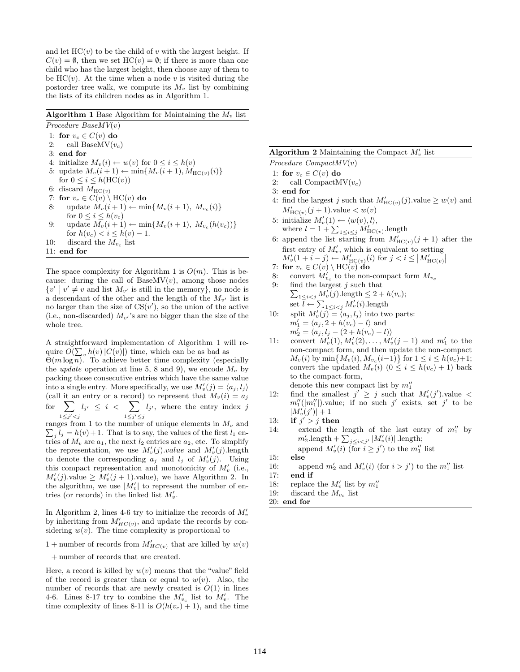and let  $HC(v)$  to be the child of v with the largest height. If  $C(v) = \emptyset$ , then we set  $HC(v) = \emptyset$ ; if there is more than one child who has the largest height, then choose any of them to be  $HC(v)$ . At the time when a node v is visited during the postorder tree walk, we compute its  $M_v$  list by combining the lists of its children nodes as in Algorithm 1.

### **Algorithm 1** Base Algorithm for Maintaining the  $M_v$  list

Procedure BaseMV(v) 1: for  $v_c \in C(v)$  do 2: call BaseMV $(v_c)$ 3: end for 4: initialize  $M_v(i) \leftarrow w(v)$  for  $0 \leq i \leq h(v)$ 5: update  $M_v(i + 1) \leftarrow \min\{M_v(i + 1), M_{HC(v)}(i)\}$ for  $0 \leq i \leq h(HC(v))$ 6: discard  $M_{\text{HC}(v)}$ 7: for  $v_c \in C(v) \setminus \text{HC}(v)$  do 8: update  $M_v(i + 1) \leftarrow \min\{M_v(i + 1), M_{v_c}(i)\}$ for  $0 \leq i \leq h(v_c)$ 9: update  $M_v(i + 1) \leftarrow \min\{M_v(i + 1), M_{v_c}(h(v_c))\}$ for  $h(v_c) < i \leq h(v) - 1$ . 10: discard the  $M_{v_c}$  list 11: end for

The space complexity for Algorithm 1 is  $O(m)$ . This is because: during the call of  $BaseMV(v)$ , among those nodes  $\{v' \mid v' \neq v \text{ and list } M_{v'} \text{ is still in the memory}\},\text{ no node is}$ a descendant of the other and the length of the  $M_{\nu'}$  list is no larger than the size of  $CS(v')$ , so the union of the active (i.e., non-discarded)  $M_{v}$ 's are no bigger than the size of the whole tree.

A straightforward implementation of Algorithm 1 will require  $O(\sum_{v} h(v) |C(v)|)$  time, which can be as bad as  $\Theta(m \log n)$ . To achieve better time complexity (especially the *update* operation at line 5, 8 and 9), we encode  $M_v$  by packing those consecutive entries which have the same value into a single entry. More specifically, we use  $M'_v(j) = \langle a_j, l_j \rangle$ (call it an entry or a record) to represent that  $M_v(i) = a_j$ for  $\Sigma$  $1\leq j' < j$  $l_{j'}\ \leq\ i\ <\ \ \sum$  $1\leq j'\leq j$  $l_{j'}$ , where the entry index j

ranges from 1 to the number of unique elements in  $M_v$  and  $\sum_j l_j = h(v) + 1$ . That is to say, the values of the first  $l_1$  entries of  $M_v$  are  $a_1$ , the next  $l_2$  entries are  $a_2$ , etc. To simplify the representation, we use  $M'_v(j)$  value and  $M'_v(j)$  length to denote the corresponding  $a_j$  and  $l_j$  of  $M'_v(j)$ . Using this compact representation and monotonicity of  $M'_{v}$  (i.e.,  $M_v'(j)$  value  $\geq M_v'(j + 1)$  value), we have Algorithm 2. In the algorithm, we use  $|M'_v|$  to represent the number of entries (or records) in the linked list  $M'_v$ .

In Algorithm 2, lines 4-6 try to initialize the records of  $M_v'$ by inheriting from  $M'_{HC(v)}$ , and update the records by considering  $w(v)$ . The time complexity is proportional to

- 1 + number of records from  $M'_{HC(v)}$  that are killed by  $w(v)$
- + number of records that are created.

Here, a record is killed by  $w(v)$  means that the "value" field of the record is greater than or equal to  $w(v)$ . Also, the number of records that are newly created is  $O(1)$  in lines 4-6. Lines 8-17 try to combine the  $M'_{v_c}$  list to  $M'_{v}$ . The time complexity of lines 8-11 is  $O(h(v_c) + 1)$ , and the time

# Algorithm 2 Maintaining the Compact  $M_v'$  list

- Procedure  $CompactMV(v)$
- 1: for  $v_c \in C(v)$  do
- 2: call CompactMV $(v_c)$
- 3: end for
- 4: find the largest j such that  $M'_{\text{HC}(v)}(j)$  value  $\geq w(v)$  and  $M'_{\text{HC}(v)}(j+1)$ .value  $\lt w(v)$
- 5: initialize  $M'_v(1) \leftarrow \langle w(v), l \rangle$ , where  $l = 1 + \sum_{1 \leq i \leq j} M'_{HC(v)}$ .length
- 6: append the list starting from  $M'_{\text{HC}(v)}(j+1)$  after the first entry of  $M'_v$ , which is equivalent to setting  $M'_{v}(1+i-j) \leftarrow M'_{HC(v)}(i) \text{ for } j < i \leq |M'_{HC(v)}|$
- 7: for  $v_c \in C(v) \setminus \mathrm{HC}(v)$  do
- 8: convert  $M'_{v_c}$  to the non-compact form  $M_{v_c}$ 9: find the largest  $j$  such that
- $\sum_{1 \leq i < j} M'_v(j)$ .length  $\leq 2 + h(v_c)$ ; set  $\bar{l} \leftarrow \sum_{1 \leq i < j} M_v'(i)$ .length
- 10: split  $M'_v(j) = \langle a_j, l_j \rangle$  into two parts:  $m'_1 = \langle a_j, 2 + h(v_c) - l \rangle$  and  $m'_2 = \langle a_j, l_j - (2 + h(v_c) - l) \rangle$
- 11: convert  $M'_v(1), M'_v(2), \ldots, M'_v(j-1)$  and  $m'_1$  to the non-compact form, and then update the non-compact  $M_v(i)$  by  $\min\{M_v(i), M_{v_c}(i-1)\}$  for  $1 \le i \le h(v_c)+1$ ; convert the updated  $M_v(i)$   $(0 \le i \le h(v_c) + 1)$  back to the compact form, denote this new compact list by  $m_1''$
- 12: find the smallest  $j' \geq j$  such that  $M'_v(j')$  value <  $m_1''(|m_1''|)$ .value; if no such j' exists, set j' to be  $|M'_v(j')| + 1$
- 13: if  $j' > j$  then
- 14: extend the length of the last entry of  $m_1''$  by  $m'_2$ .length +  $\sum_{j \leq i < j'} |M'_v(i)|$  .length; append  $M'_v(i)$  (for  $i \geq j'$ ) to the  $m''_1$  list
- 15: else
- 16: append  $m'_2$  and  $M'_v(i)$  (for  $i > j'$ ) to the  $m''_1$  list
- 17: end if
- 18: replace the  $M'_v$  list by  $m''_1$
- 19: discard the  $M_{v_c}$  list
- 20: end for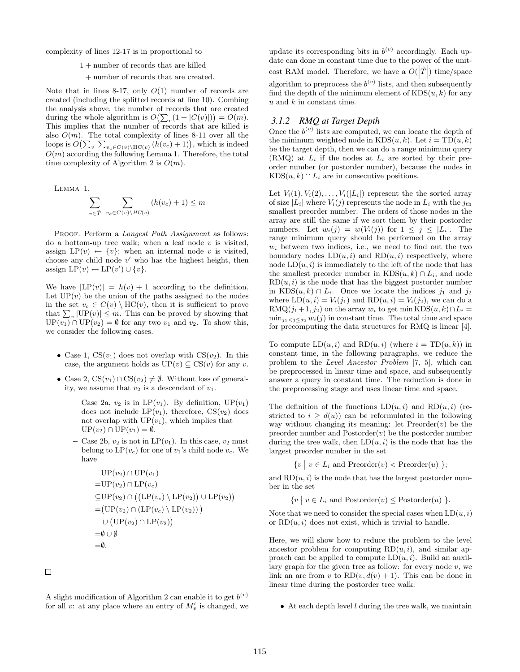complexity of lines 12-17 is in proportional to

- 1 + number of records that are killed
	- + number of records that are created.

Note that in lines 8-17, only  $O(1)$  number of records are created (including the splitted records at line 10). Combing the analysis above, the number of records that are created during the whole algorithm is  $O(\sum_{v} (1 + |C(v)|)) = O(m)$ . This implies that the number of records that are killed is also  $O(m)$ . The total complexity of lines 8-11 over all the loops is  $O(\sum_{v} \sum_{v_c \in C(v) \setminus \text{HC}(v)} (h(v_c) + 1))$ , which is indeed  $O(m)$  according the following Lemma 1. Therefore, the total time complexity of Algorithm 2 is  $O(m)$ .

Lemma 1.

$$
\sum_{v \in \hat{T}} \sum_{v_c \in C(v) \setminus HC(v)} (h(v_c) + 1) \le m
$$

PROOF. Perform a *Longest Path Assignment* as follows: do a bottom-up tree walk; when a leaf node  $v$  is visited, assign  $LP(v) \leftarrow \{v\}$ ; when an internal node v is visited, choose any child node  $v'$  who has the highest height, then assign  $LP(v) \leftarrow LP(v') \cup \{v\}.$ 

We have  $|LP(v)| = h(v) + 1$  according to the definition. Let  $UP(v)$  be the union of the paths assigned to the nodes in the set  $v_c \in C(v) \setminus \text{HC}(v)$ , then it is sufficient to prove that  $\sum_{v} |UP(v)| \leq m$ . This can be proved by showing that  $UP(v_1) \cap UP(v_2) = \emptyset$  for any two  $v_1$  and  $v_2$ . To show this, we consider the following cases.

- Case 1,  $CS(v_1)$  does not overlap with  $CS(v_2)$ . In this case, the argument holds as  $UP(v) \subseteq CS(v)$  for any v.
- Case 2,  $CS(v_1) \cap CS(v_2) \neq \emptyset$ . Without loss of generality, we assume that  $v_2$  is a descendant of  $v_1$ .
	- Case 2a,  $v_2$  is in LP( $v_1$ ). By definition, UP( $v_1$ ) does not include  $LP(v_1)$ , therefore,  $CS(v_2)$  does not overlap with  $UP(v_1)$ , which implies that  $UP(v_2) \cap UP(v_1) = \emptyset.$
	- Case 2b,  $v_2$  is not in  $LP(v_1)$ . In this case,  $v_2$  must belong to  $LP(v_c)$  for one of  $v_1$ 's child node  $v_c$ . We have

$$
UP(v_2) \cap UP(v_1)
$$
  
= UP(v\_2)  $\cap LP(v_c)$   

$$
\subseteq UP(v_2) \cap ((LP(v_c) \setminus LP(v_2)) \cup LP(v_2))
$$
  
= (UP(v\_2)  $\cap (LP(v_c) \setminus LP(v_2)))$   

$$
\cup (UP(v_2) \cap LP(v_2))
$$
  
=  $\emptyset \cup \emptyset$   
=  $\emptyset$ .

 $\Box$ 

A slight modification of Algorithm 2 can enable it to get  $b^{(v)}$ for all v: at any place where an entry of  $M'_v$  is changed, we

update its corresponding bits in  $b^{(v)}$  accordingly. Each update can done in constant time due to the power of the unitcost RAM model. Therefore, we have a  $O(|\hat{T}|)$  time/space  $\overline{\phantom{a}}$ algorithm to preprocess the  $b^{(v)}$  lists, and then subsequently find the depth of the minimum element of  $KDS(u, k)$  for any  $u$  and  $k$  in constant time.

# *3.1.2 RMQ at Target Depth*

Once the  $b^{(v)}$  lists are computed, we can locate the depth of the minimum weighted node in  $KDS(u, k)$ . Let  $i = TD(u, k)$ be the target depth, then we can do a range minimum query (RMQ) at  $L_i$  if the nodes at  $L_i$  are sorted by their preorder number (or postorder number), because the nodes in  $KDS(u, k) \cap L_i$  are in consecutive positions.

Let  $V_i(1), V_i(2), \ldots, V_i(|L_i|)$  represent the the sorted array of size  $|L_i|$  where  $V_i(j)$  represents the node in  $L_i$  with the  $j_{th}$ smallest preorder number. The orders of those nodes in the array are still the same if we sort them by their postorder numbers. Let  $w_i(j) = w(V_i(j))$  for  $1 \leq j \leq |L_i|$ . The range minimum query should be performed on the array  $w_i$  between two indices, i.e., we need to find out the two boundary nodes  $LD(u, i)$  and  $RD(u, i)$  respectively, where node  $LD(u, i)$  is immediately to the left of the node that has the smallest preorder number in  $KDS(u, k) \cap L_i$ , and node  $RD(u, i)$  is the node that has the biggest postorder number in KDS $(u, k) \cap L_i$ . Once we locate the indices  $j_1$  and  $j_2$ where  $LD(u, i) = V_i(j_1)$  and  $RD(u, i) = V_i(j_2)$ , we can do a RMQ( $j_1+1, j_2$ ) on the array  $w_i$  to get min KDS( $u, k$ )∩ $L_i$  =  $\min_{j_1 < j \leq j_2} w_i(j)$  in constant time. The total time and space for precomputing the data structures for RMQ is linear [4].

To compute  $LD(u, i)$  and  $RD(u, i)$  (where  $i = TD(u, k)$ ) in constant time, in the following paragraphs, we reduce the problem to the Level Ancestor Problem [7, 5], which can be preprocessed in linear time and space, and subsequently answer a query in constant time. The reduction is done in the preprocessing stage and uses linear time and space.

The definition of the functions  $LD(u, i)$  and  $RD(u, i)$  (restricted to  $i \geq d(u)$  can be reformulated in the following way without changing its meaning: let  $Preorder(v)$  be the preorder number and  $Postorder(v)$  be the postorder number during the tree walk, then  $LD(u, i)$  is the node that has the largest preorder number in the set

$$
\{v \mid v \in L_i \text{ and Preorder}(v) < \text{Preorder}(u) \};
$$

and  $RD(u, i)$  is the node that has the largest postorder number in the set

 $\{v \mid v \in L_i \text{ and Postorder}(v) \leq \text{Postorder}(u) \}.$ 

Note that we need to consider the special cases when  $LD(u, i)$ or  $RD(u, i)$  does not exist, which is trivial to handle.

Here, we will show how to reduce the problem to the level ancestor problem for computing  $RD(u, i)$ , and similar approach can be applied to compute  $LD(u, i)$ . Build an auxiliary graph for the given tree as follow: for every node  $v$ , we link an arc from v to  $RD(v, d(v) + 1)$ . This can be done in linear time during the postorder tree walk:

 $\bullet$  At each depth level  $l$  during the tree walk, we maintain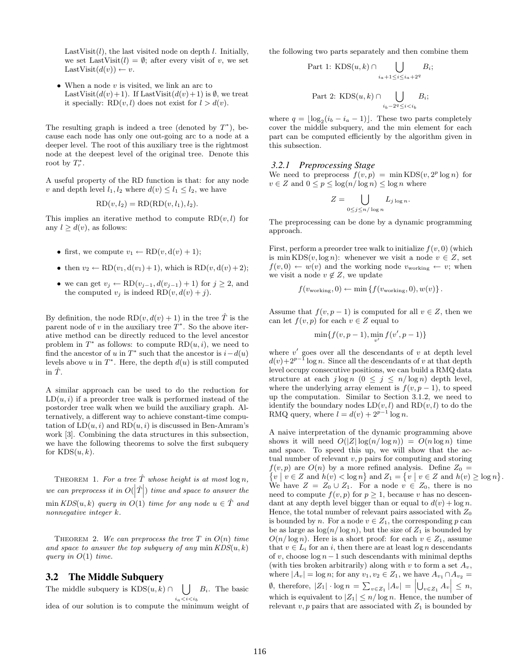LastVisit $(l)$ , the last visited node on depth l. Initially, we set LastVisit(l) =  $\emptyset$ ; after every visit of v, we set LastVisit $(d(v)) \leftarrow v$ .

• When a node  $v$  is visited, we link an arc to LastVisit $(d(v)+1)$ . If LastVisit $(d(v)+1)$  is  $\emptyset$ , we treat it specially: RD $(v, l)$  does not exist for  $l > d(v)$ .

The resulting graph is indeed a tree (denoted by  $T^*$ ), because each node has only one out-going arc to a node at a deeper level. The root of this auxiliary tree is the rightmost node at the deepest level of the original tree. Denote this root by  $T_r^*$ .

A useful property of the RD function is that: for any node v and depth level  $l_1, l_2$  where  $d(v) \leq l_1 \leq l_2$ , we have

$$
RD(v, l_2) = RD(RD(v, l_1), l_2).
$$

This implies an iterative method to compute  $RD(v, l)$  for any  $l \geq d(v)$ , as follows:

- first, we compute  $v_1 \leftarrow \text{RD}(v, d(v) + 1);$
- then  $v_2 \leftarrow \text{RD}(v_1, d(v_1) + 1)$ , which is  $\text{RD}(v, d(v) + 2)$ ;
- we can get  $v_j \leftarrow \text{RD}(v_{j-1}, d(v_{j-1}) + 1)$  for  $j \geq 2$ , and the computed  $v_j$  is indeed  $RD(v, d(v) + j)$ .

By definition, the node  $RD(v, d(v) + 1)$  in the tree  $\hat{T}$  is the parent node of  $v$  in the auxiliary tree  $T^*$ . So the above iterative method can be directly reduced to the level ancestor problem in  $T^*$  as follows: to compute  $RD(u, i)$ , we need to find the ancestor of u in  $T^*$  such that the ancestor is  $i - d(u)$ levels above u in  $T^*$ . Here, the depth  $d(u)$  is still computed in  $\hat{T}$ .

A similar approach can be used to do the reduction for  $LD(u, i)$  if a preorder tree walk is performed instead of the postorder tree walk when we build the auxiliary graph. Alternatively, a different way to achieve constant-time computation of  $LD(u, i)$  and  $RD(u, i)$  is discussed in Ben-Amram's work [3]. Combining the data structures in this subsection, we have the following theorems to solve the first subquery for  $KDS(u, k)$ .

THEOREM 1. For a tree  $\hat{T}$  whose height is at most  $\log n$ , we can preprocess it in  $O(|\hat{T}|)$  time and space to answer the min  $KDS(u, k)$  query in  $O(1)$  time for any node  $u \in \hat{T}$  and nonnegative integer k.

THEOREM 2. We can preprocess the tree T in  $O(n)$  time and space to answer the top subquery of any min  $KDS(u, k)$ query in  $O(1)$  time.

### 3.2 The Middle Subquery

The middle subquery is  $KDS(u, k) \cap \bigcup B_i$ . The basic  $i_a\!<\!i\!<\!i_b$ idea of our solution is to compute the minimum weight of the following two parts separately and then combine them

Part 1: KDS
$$
(u, k)
$$
  $\cap$   $\bigcup_{i_a+1 \leq i \leq i_a+2^q} B_i$ ;  
Part 2: KDS $(u, k)$   $\cap$   $\bigcup_{i_b-2^q \leq i < i_b} B_i$ ;

where  $q = \lfloor \log_2(i_b - i_a - 1) \rfloor$ . These two parts completely cover the middle subquery, and the min element for each part can be computed efficiently by the algorithm given in this subsection.

#### *3.2.1 Preprocessing Stage*

We need to preprocess  $f(v, p) = \min \text{KDS}(v, 2^p \log n)$  for  $v \in Z$  and  $0 \le p \le \log(n/\log n) \le \log n$  where

$$
Z = \bigcup_{0 \le j \le n/\log n} L_{j \log n}.
$$

The preprocessing can be done by a dynamic programming approach.

First, perform a preorder tree walk to initialize  $f(v, 0)$  (which is min KDS $(v, \log n)$ : whenever we visit a node  $v \in Z$ , set  $f(v, 0) \leftarrow w(v)$  and the working node  $v_{\text{working}} \leftarrow v$ ; when we visit a node  $v \notin Z$ , we update

$$
f(v_{\text{working}}, 0) \leftarrow \min \left\{ f(v_{\text{working}}, 0), w(v) \right\}.
$$

Assume that  $f(v, p-1)$  is computed for all  $v \in Z$ , then we can let  $f(v, p)$  for each  $v \in Z$  equal to

$$
\min\{f(v, p-1), \min_{v'} f(v', p-1)\}
$$

where  $v'$  goes over all the descendants of  $v$  at depth level  $d(v)+2^{p-1}\log n$ . Since all the descendants of v at that depth level occupy consecutive positions, we can build a RMQ data structure at each  $j \log n$   $(0 \leq j \leq n/\log n)$  depth level, where the underlying array element is  $f(v, p-1)$ , to speed up the computation. Similar to Section 3.1.2, we need to identify the boundary nodes  $LD(v, l)$  and  $RD(v, l)$  to do the RMQ query, where  $l = d(v) + 2^{p-1} \log n$ .

A naive interpretation of the dynamic programming above shows it will need  $O(|Z| \log(n/\log n)) = O(n \log n)$  time and space. To speed this up, we will show that the actual number of relevant  $v, p$  pairs for computing and storing  $f(v, p)$  are  $O(n)$  by a more refined analysis. Define  $Z_0 =$  $\{v \mid v \in Z \text{ and } h(v) < \log n\}$  and  $Z_1 = \{v \mid v \in Z \text{ and } h(v) \ge \log n\}.$ We have  $Z = Z_0 \cup Z_1$ . For a node  $v \in Z_0$ , there is no need to compute  $f(v, p)$  for  $p \geq 1$ , because v has no descendant at any depth level bigger than or equal to  $d(v) + \log n$ . Hence, the total number of relevant pairs associated with  $Z_0$ is bounded by n. For a node  $v \in Z_1$ , the corresponding p can be as large as  $\log(n/\log n)$ , but the size of  $Z_1$  is bounded by  $O(n/\log n)$ . Here is a short proof: for each  $v \in Z_1$ , assume that  $v \in L_i$  for an i, then there are at least  $\log n$  descendants of v, choose  $log n - 1$  such descendants with minimal depths (with ties broken arbitrarily) along with v to form a set  $A_v$ , where  $|A_v| = \log n$ ; for any  $v_1, v_2 \in Z_1$ , we have  $A_{v_1} \cap A_{v_2} =$  $\emptyset$ , therefore,  $|Z_1| \cdot \log n = \sum_{v \in Z_1} |A_v| = |\bigcup_{v \in Z_1} A_v| \leq n$ which is equivalent to  $|Z_1| \leq n/\log n$ . Hence, the number of relevant  $v, p$  pairs that are associated with  $Z_1$  is bounded by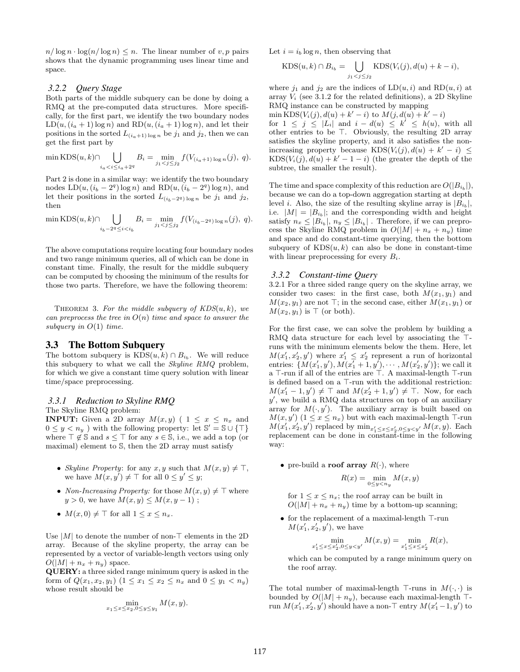$n/\log n \cdot \log(n/\log n) \leq n$ . The linear number of v, p pairs shows that the dynamic programming uses linear time and space.

### *3.2.2 Query Stage*

Both parts of the middle subquery can be done by doing a RMQ at the pre-computed data structures. More specifically, for the first part, we identify the two boundary nodes  $LD(u, (i_a + 1) \log n)$  and  $RD(u, (i_a + 1) \log n)$ , and let their positions in the sorted  $L_{(i_a+1)\log n}$  be  $j_1$  and  $j_2$ , then we can get the first part by

$$
\min \text{KDS}(u, k) \cap \bigcup_{i_a < i \le i_a + 2^q} B_i = \min_{j_1 < j \le j_2} f(V_{(i_a + 1) \log n}(j), q).
$$

Part 2 is done in a similar way: we identify the two boundary nodes  $LD(u, (i_b - 2^q) \log n)$  and  $RD(u, (i_b - 2^q) \log n)$ , and let their positions in the sorted  $L_{(i_b-2q)\log n}$  be  $j_1$  and  $j_2$ , then

$$
\min \text{KDS}(u, k) \cap \bigcup_{i_b - 2^q \le i < i_b} B_i = \min_{j_1 < j \le j_2} f(V_{(i_b - 2^q) \log n}(j), q).
$$

The above computations require locating four boundary nodes and two range minimum queries, all of which can be done in constant time. Finally, the result for the middle subquery can be computed by choosing the minimum of the results for those two parts. Therefore, we have the following theorem:

THEOREM 3. For the middle subquery of  $KDS(u, k)$ , we can preprocess the tree in  $O(n)$  time and space to answer the subquery in  $O(1)$  time.

# 3.3 The Bottom Subquery

The bottom subquery is  $KDS(u, k) \cap B_{i_b}$ . We will reduce this subquery to what we call the Skyline RMQ problem, for which we give a constant time query solution with linear time/space preprocessing.

### *3.3.1 Reduction to Skyline RMQ*

The Skyline RMQ problem:

**INPUT:** Given a 2D array  $M(x, y)$  (  $1 \leq x \leq n_x$  and  $0 \leq y < n_y$  with the following property: let  $\mathbb{S}' = \mathbb{S} \cup \{\top\}$ where  $\top \notin \mathbb{S}$  and  $s \leq \top$  for any  $s \in \mathbb{S}$ , i.e., we add a top (or maximal) element to S, then the 2D array must satisfy

- Skyline Property: for any x, y such that  $M(x, y) \neq \top$ , we have  $M(x, y') \neq \top$  for all  $0 \leq y' \leq y$ ;
- Non-Increasing Property: for those  $M(x, y) \neq \top$  where  $y > 0$ , we have  $M(x, y) \leq M(x, y - 1)$ ;
- $M(x, 0) \neq \top$  for all  $1 \leq x \leq n_x$ .

Use  $|M|$  to denote the number of non- $\top$  elements in the 2D array. Because of the skyline property, the array can be represented by a vector of variable-length vectors using only  $O(|M| + n_x + n_y)$  space.

QUERY: a three sided range minimum query is asked in the form of  $Q(x_1, x_2, y_1)$   $(1 \le x_1 \le x_2 \le n_x \text{ and } 0 \le y_1 < n_y)$ whose result should be

$$
\min_{x_1 \le x \le x_2, 0 \le y \le y_1} M(x, y).
$$

Let  $i = i<sub>b</sub> \log n$ , then observing that

$$
KDS(u, k) \cap B_{i_b} = \bigcup_{j_1 < j \leq j_2} KDS(V_i(j), d(u) + k - i),
$$

where  $j_1$  and  $j_2$  are the indices of  $LD(u, i)$  and  $RD(u, i)$  at array  $V_i$  (see 3.1.2 for the related definitions), a 2D Skyline RMQ instance can be constructed by mapping

 $\min \text{KDS}(V_i(j), d(u) + k' - i)$  to  $M(j, d(u) + k' - i)$ for  $1 \leq j \leq |L_i|$  and  $i - d(u) \leq k' \leq h(u)$ , with all other entries to be  $\top$ . Obviously, the resulting 2D array satisfies the skyline property, and it also satisfies the nonincreasing property because  $KDS(V_i(j), d(u) + k' - i) \leq$  $KDS(V_i(j), d(u) + k' - 1 - i)$  (the greater the depth of the subtree, the smaller the result).

The time and space complexity of this reduction are  $O(|B_{i_b}|)$ , because we can do a top-down aggregation starting at depth level *i*. Also, the size of the resulting skyline array is  $|B_{i_b}|$ , i.e.  $|M| = |B_{i_b}|$ ; and the corresponding width and height satisfy  $n_x \leq |B_{i_b}|$ ,  $n_y \leq |B_{i_b}|$ . Therefore, if we can preprocess the Skyline RMQ problem in  $O(|M| + n_x + n_y)$  time and space and do constant-time querying, then the bottom subquery of  $KDS(u, k)$  can also be done in constant-time with linear preprocessing for every  $B_i$ .

#### *3.3.2 Constant-time Query*

3.2.1 For a three sided range query on the skyline array, we consider two cases: in the first case, both  $M(x_1, y_1)$  and  $M(x_2, y_1)$  are not  $\top$ ; in the second case, either  $M(x_1, y_1)$  or  $M(x_2, y_1)$  is  $\top$  (or both).

For the first case, we can solve the problem by building a RMQ data structure for each level by associating the  $\top$ runs with the minimum elements below the them. Here, let  $M(x'_1, x'_2, y')$  where  $x'_1 \leq x'_2$  represent a run of horizontal entries:  $\{M(x'_1, y'), M(x'_1 + 1, y'), \cdots, M(x'_2, y')\}$ ; we call it a  $\top$ -run if all of the entries are  $\top$ . A maximal-length  $\top$ -run is defined based on a  $\top$ -run with the additional restriction:  $M(x'_1 - 1, y') \neq \top$  and  $M(x'_2 + 1, y') \neq \top$ . Now, for each  $y'$ , we build a RMQ data structures on top of an auxiliary array for  $M(\cdot, y')$ . The auxiliary array is built based on  $M(x, y')$   $(1 \le x \le n_x)$  but with each maximal-length  $\top$ -run  $M(x_1', x_2', y')$  replaced by  $\min_{x_1' \le x \le x_2', 0 \le y \le y'} M(x, y)$ . Each replacement can be done in constant-time in the following way:

• pre-build a roof array  $R(\cdot)$ , where

$$
R(x) = \min_{0 \le y < n_y} M(x, y)
$$

for  $1 \leq x \leq n_x$ ; the roof array can be built in  $O(|M| + n_x + n_y)$  time by a bottom-up scanning;

 $\bullet$  for the replacement of a maximal-length  $\top$ -run  $M(x'_1, x'_2, y')$ , we have

$$
\min_{x'_1 \le x \le x'_2, 0 \le y < y'} M(x, y) = \min_{x'_1 \le x \le x'_2} R(x),
$$

which can be computed by a range minimum query on the roof array.

The total number of maximal-length  $\top$ -runs in  $M(\cdot, \cdot)$  is bounded by  $O(|M| + n_y)$ , because each maximal-length  $\top$ run  $M(x'_1, x'_2, y')$  should have a non- $\top$  entry  $M(x'_1-1, y')$  to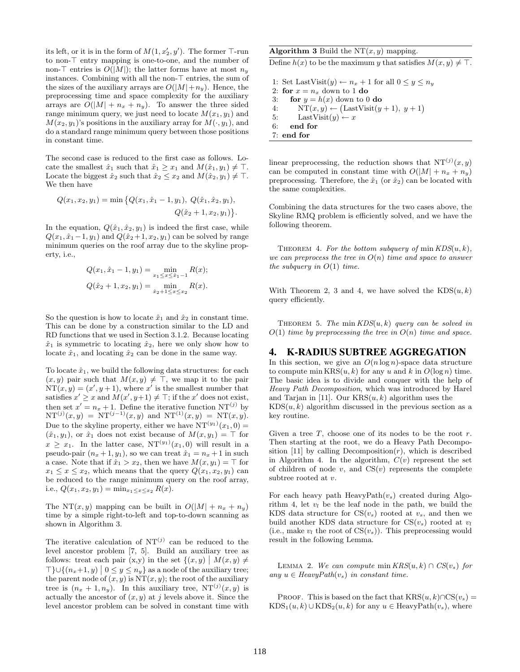its left, or it is in the form of  $M(1, x_2', y')$ . The former  $\top$ -run to non- $\top$  entry mapping is one-to-one, and the number of non- $\top$  entries is  $O(|M|)$ ; the latter forms have at most  $n_y$ instances. Combining with all the non- $\top$  entries, the sum of the sizes of the auxiliary arrays are  $O(|M|+n_y)$ . Hence, the preprocessing time and space complexity for the auxiliary arrays are  $O(|M| + n_x + n_y)$ . To answer the three sided range minimum query, we just need to locate  $M(x_1, y_1)$  and  $M(x_2, y_1)$ 's positions in the auxiliary array for  $M(\cdot, y_1)$ , and do a standard range minimum query between those positions in constant time.

The second case is reduced to the first case as follows. Locate the smallest  $\hat{x}_1$  such that  $\hat{x}_1 \geq x_1$  and  $M(\hat{x}_1, y_1) \neq \top$ . Locate the biggest  $\hat{x}_2$  such that  $\hat{x}_2 \leq x_2$  and  $M(\hat{x}_2, y_1) \neq \top$ . We then have

$$
Q(x_1, x_2, y_1) = \min \{ Q(x_1, \hat{x}_1 - 1, y_1), \ Q(\hat{x}_1, \hat{x}_2, y_1),
$$
  

$$
Q(\hat{x}_2 + 1, x_2, y_1) \}.
$$

In the equation,  $Q(\hat{x}_1, \hat{x}_2, y_1)$  is indeed the first case, while  $Q(x_1, \hat{x}_1-1, y_1)$  and  $Q(\hat{x}_2+1, x_2, y_1)$  can be solved by range minimum queries on the roof array due to the skyline property, i.e.,

$$
Q(x_1, \hat{x}_1 - 1, y_1) = \min_{x_1 \le x \le \hat{x}_1 - 1} R(x);
$$
  

$$
Q(\hat{x}_2 + 1, x_2, y_1) = \min_{\hat{x}_2 + 1 \le x \le x_2} R(x).
$$

So the question is how to locate  $\hat{x}_1$  and  $\hat{x}_2$  in constant time. This can be done by a construction similar to the LD and RD functions that we used in Section 3.1.2. Because locating  $\hat{x}_1$  is symmetric to locating  $\hat{x}_2$ , here we only show how to locate  $\hat{x}_1$ , and locating  $\hat{x}_2$  can be done in the same way.

To locate  $\hat{x}_1$ , we build the following data structures: for each  $(x, y)$  pair such that  $M(x, y) \neq \top$ , we map it to the pair  $NT(x, y) = (x', y + 1)$ , where x' is the smallest number that satisfies  $x' \geq x$  and  $M(x', y+1) \neq \top$ ; if the x' does not exist, then set  $x' = n_x + 1$ . Define the iterative function NT<sup>(j)</sup> by  $NT^{(j)}(x, y) = NT^{(j-1)}(x, y)$  and  $NT^{(1)}(x, y) = NT(x, y)$ . Due to the skyline property, either we have  $NT^{(y_1)}(x_1, 0) =$  $(\hat{x}_1, y_1)$ , or  $\hat{x}_1$  does not exist because of  $M(x, y_1) = \top$  for  $x \geq x_1$ . In the latter case,  $NT^{(y_1)}(x_1, 0)$  will result in a pseudo-pair  $(n_x + 1, y_1)$ , so we can treat  $\hat{x}_1 = n_x + 1$  in such a case. Note that if  $\hat{x}_1 > x_2$ , then we have  $M(x, y_1) = \top$  for  $x_1 \leq x \leq x_2$ , which means that the query  $Q(x_1, x_2, y_1)$  can be reduced to the range minimum query on the roof array, i.e.,  $Q(x_1, x_2, y_1) = \min_{x_1 \le x \le x_2} R(x)$ .

The NT(x, y) mapping can be built in  $O(|M| + n_x + n_y)$ time by a simple right-to-left and top-to-down scanning as shown in Algorithm 3.

The iterative calculation of  $NT^{(j)}$  can be reduced to the level ancestor problem [7, 5]. Build an auxiliary tree as follows: treat each pair  $(x,y)$  in the set  $\{(x,y) | M(x,y) \neq \emptyset\}$  $\top\} \cup \{(n_x+1,y) \mid 0 \leq y \leq n_y\}$  as a node of the auxiliary tree; the parent node of  $(x, y)$  is  $\overline{NT}(x, y)$ ; the root of the auxiliary tree is  $(n_x + 1, n_y)$ . In this auxiliary tree,  $NT^{(j)}(x, y)$  is actually the ancestor of  $(x, y)$  at j levels above it. Since the level ancestor problem can be solved in constant time with **Algorithm 3** Build the  $NT(x, y)$  mapping.

Define  $h(x)$  to be the maximum y that satisfies  $M(x, y) \neq \top$ .

1: Set LastVisit $(y) \leftarrow n_x + 1$  for all  $0 \le y \le n_y$ 2: for  $x = n_x$  down to 1 do 3: for  $y = h(x)$  down to 0 do 4:  $NT(x, y) \leftarrow (LastVisit(y + 1), y + 1)$ 5: LastVisit $(y) \leftarrow x$ 6: end for 7: end for

linear preprocessing, the reduction shows that  $NT^{(j)}(x, y)$ can be computed in constant time with  $O(|M| + n_x + n_y)$ preprocessing. Therefore, the  $\hat{x}_1$  (or  $\hat{x}_2$ ) can be located with the same complexities.

Combining the data structures for the two cases above, the Skyline RMQ problem is efficiently solved, and we have the following theorem.

THEOREM 4. For the bottom subquery of min  $KDS(u, k)$ , we can preprocess the tree in  $O(n)$  time and space to answer the subquery in  $O(1)$  time.

With Theorem 2, 3 and 4, we have solved the  $KDS(u, k)$ query efficiently.

THEOREM 5. The min  $KDS(u, k)$  query can be solved in  $O(1)$  time by preprocessing the tree in  $O(n)$  time and space.

# 4. K-RADIUS SUBTREE AGGREGATION

In this section, we give an  $O(n \log n)$ -space data structure to compute min  $KRS(u, k)$  for any u and k in  $O(\log n)$  time. The basic idea is to divide and conquer with the help of Heavy Path Decomposition, which was introduced by Harel and Tarjan in [11]. Our  $KRS(u, k)$  algorithm uses the  $KDS(u, k)$  algorithm discussed in the previous section as a key routine.

Given a tree  $T$ , choose one of its nodes to be the root  $r$ . Then starting at the root, we do a Heavy Path Decomposition [11] by calling Decomposition $(r)$ , which is described in Algorithm 4. In the algorithm,  $C(v)$  represent the set of children of node  $v$ , and  $CS(v)$  represents the complete subtree rooted at v.

For each heavy path  $HeavyPath(v<sub>s</sub>)$  created during Algorithm 4, let  $v_l$  be the leaf node in the path, we build the KDS data structure for  $CS(v_s)$  rooted at  $v_s$ , and then we build another KDS data structure for  $CS(v_s)$  rooted at  $v_l$ (i.e., make  $v_l$  the root of  $CS(v_s)$ ). This preprocessing would result in the following Lemma.

LEMMA 2. We can compute min  $KRS(u, k) \cap CS(v_s)$  for any  $u \in HeavyPath(v_s)$  in constant time.

PROOF. This is based on the fact that  $KRS(u, k) \cap CS(v_s) =$  $KDS_1(u, k) \cup KDS_2(u, k)$  for any  $u \in \text{HeavyPath}(v_s)$ , where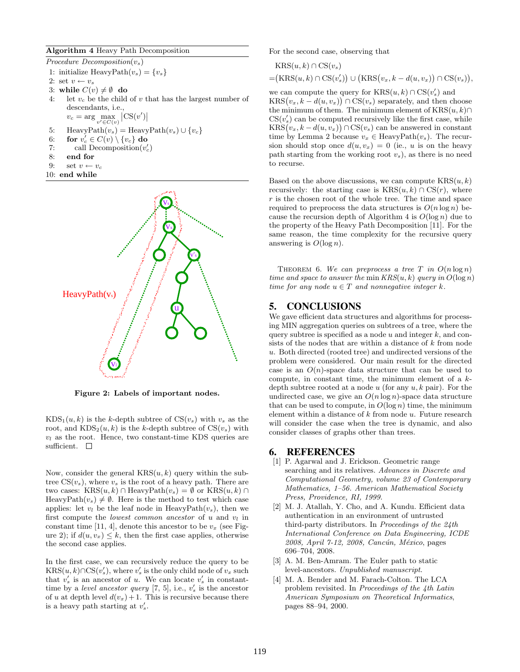#### Algorithm 4 Heavy Path Decomposition

Procedure Decomposition $(v_s)$ 1: initialize HeavyPath $(v_s) = \{v_s\}$ 

- 2: set  $v \leftarrow v_s$
- 3: while  $C(v) \neq \emptyset$  do
- 4: let  $v_c$  be the child of v that has the largest number of descendants, i.e.,
	- $v_c = \arg \max_{v' \in C(v)} |CS(v')|$
- 5: HeavyPath $(v_s)$  = HeavyPath $(v_s) \cup \{v_c\}$
- 6: for  $v'_c \in C(v) \setminus \{v_c\}$  do
- 7: call Decomposition $(v'_c)$
- 8: end for
- 9: set  $v \leftarrow v_c$ 10: end while



Figure 2: Labels of important nodes.

 $KDS<sub>1</sub>(u, k)$  is the k-depth subtree of  $CS(v<sub>s</sub>)$  with  $v<sub>s</sub>$  as the root, and  $KDS_2(u, k)$  is the k-depth subtree of  $CS(v_s)$  with  $v_l$  as the root. Hence, two constant-time KDS queries are sufficient.  $\square$ 

Now, consider the general  $KRS(u, k)$  query within the subtree  $CS(v_s)$ , where  $v_s$  is the root of a heavy path. There are two cases: KRS $(u, k) \cap$ HeavyPath $(v_s) = \emptyset$  or KRS $(u, k) \cap$ HeavyPath $(v_s) \neq \emptyset$ . Here is the method to test which case applies: let  $v_l$  be the leaf node in HeavyPath $(v_s)$ , then we first compute the *lowest common ancestor* of u and  $v_l$  in constant time [11, 4], denote this ancestor to be  $v_x$  (see Figure 2); if  $d(u, v_x) \leq k$ , then the first case applies, otherwise the second case applies.

In the first case, we can recursively reduce the query to be  $KRS(u, k) \cap CS(v'_{s}),$  where  $v'_{s}$  is the only child node of  $v_{x}$  such that  $v'_{s}$  is an ancestor of u. We can locate  $v'_{s}$  in constanttime by a *level ancestor query* [7, 5], i.e.,  $v_s'$  is the ancestor of u at depth level  $d(v_x) + 1$ . This is recursive because there is a heavy path starting at  $v_s'$ .

For the second case, observing that

$$
KRS(u, k) \cap CS(v_s)
$$
  
= $(KRS(u, k) \cap CS(v'_s)) \cup (KRS(v_x, k - d(u, v_x)) \cap CS(v_s)),$ 

we can compute the query for  $KRS(u, k) \cap CS(v'_{s})$  and  $KRS(v_x, k - d(u, v_x)) \cap CS(v_s)$  separately, and then choose the minimum of them. The minimum element of  $KRS(u, k) \cap$  $CS(v_s)$  can be computed recursively like the first case, while  $KRS(v_x, k - d(u, v_x)) \cap CS(v_s)$  can be answered in constant time by Lemma 2 because  $v_x \in \text{HeavyPath}(v_s)$ . The recursion should stop once  $d(u, v_x) = 0$  (ie., u is on the heavy path starting from the working root  $v_s$ , as there is no need to recurse.

Based on the above discussions, we can compute  $KRS(u, k)$ recursively: the starting case is  $KRS(u, k) \cap CS(r)$ , where r is the chosen root of the whole tree. The time and space required to preprocess the data structures is  $O(n \log n)$  because the recursion depth of Algorithm 4 is  $O(\log n)$  due to the property of the Heavy Path Decomposition [11]. For the same reason, the time complexity for the recursive query answering is  $O(\log n)$ .

THEOREM 6. We can preprocess a tree T in  $O(n \log n)$ time and space to answer the min  $KRS(u, k)$  query in  $O(\log n)$ time for any node  $u \in T$  and nonnegative integer k.

# 5. CONCLUSIONS

We gave efficient data structures and algorithms for processing MIN aggregation queries on subtrees of a tree, where the query subtree is specified as a node  $u$  and integer  $k$ , and consists of the nodes that are within a distance of k from node u. Both directed (rooted tree) and undirected versions of the problem were considered. Our main result for the directed case is an  $O(n)$ -space data structure that can be used to compute, in constant time, the minimum element of a  $k$ depth subtree rooted at a node  $u$  (for any  $u, k$  pair). For the undirected case, we give an  $O(n \log n)$ -space data structure that can be used to compute, in  $O(\log n)$  time, the minimum element within a distance of  $k$  from node  $u$ . Future research will consider the case when the tree is dynamic, and also consider classes of graphs other than trees.

# 6. REFERENCES

- [1] P. Agarwal and J. Erickson. Geometric range searching and its relatives. Advances in Discrete and Computational Geometry, volume 23 of Contemporary Mathematics, 1–56. American Mathematical Society Press, Providence, RI, 1999.
- [2] M. J. Atallah, Y. Cho, and A. Kundu. Efficient data authentication in an environment of untrusted third-party distributors. In Proceedings of the 24th International Conference on Data Engineering, ICDE 2008, April 7-12, 2008, Cancún, México, pages 696–704, 2008.
- [3] A. M. Ben-Amram. The Euler path to static level-ancestors. Unpublished manuscript.
- [4] M. A. Bender and M. Farach-Colton. The LCA problem revisited. In Proceedings of the 4th Latin American Symposium on Theoretical Informatics, pages 88–94, 2000.